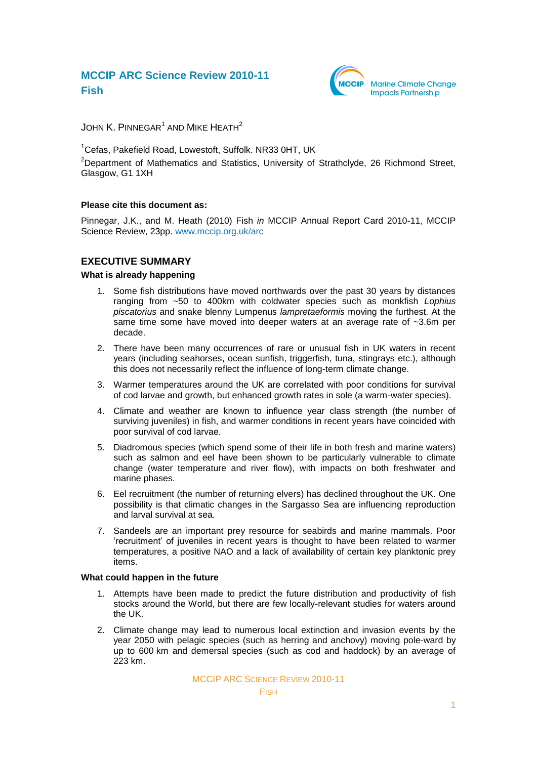

JOHN  $\mathsf K.$  PINNEGAR $^1$  and Mike Heath $^2$ 

<sup>1</sup>Cefas, Pakefield Road, Lowestoft, Suffolk, NR33 0HT, UK <sup>2</sup>Department of Mathematics and Statistics, University of Strathclyde, 26 Richmond Street, Glasgow, G1 1XH

#### **Please cite this document as:**

Pinnegar, J.K., and M. Heath (2010) Fish *in* MCCIP Annual Report Card 2010-11, MCCIP Science Review, 23pp. [www.mccip.org.uk/arc](http://www.mccip.org.uk/arc)

### **EXECUTIVE SUMMARY**

#### **What is already happening**

- 1. Some fish distributions have moved northwards over the past 30 years by distances ranging from ~50 to 400km with coldwater species such as monkfish *Lophius piscatorius* and snake blenny Lumpenus *lampretaeformis* moving the furthest. At the same time some have moved into deeper waters at an average rate of ~3.6m per decade.
- 2. There have been many occurrences of rare or unusual fish in UK waters in recent years (including seahorses, ocean sunfish, triggerfish, tuna, stingrays etc.), although this does not necessarily reflect the influence of long-term climate change.
- 3. Warmer temperatures around the UK are correlated with poor conditions for survival of cod larvae and growth, but enhanced growth rates in sole (a warm-water species).
- 4. Climate and weather are known to influence year class strength (the number of surviving juveniles) in fish, and warmer conditions in recent years have coincided with poor survival of cod larvae.
- 5. Diadromous species (which spend some of their life in both fresh and marine waters) such as salmon and eel have been shown to be particularly vulnerable to climate change (water temperature and river flow), with impacts on both freshwater and marine phases.
- 6. Eel recruitment (the number of returning elvers) has declined throughout the UK. One possibility is that climatic changes in the Sargasso Sea are influencing reproduction and larval survival at sea.
- 7. Sandeels are an important prey resource for seabirds and marine mammals. Poor ‗recruitment' of juveniles in recent years is thought to have been related to warmer temperatures, a positive NAO and a lack of availability of certain key planktonic prey items.

#### **What could happen in the future**

- 1. Attempts have been made to predict the future distribution and productivity of fish stocks around the World, but there are few locally-relevant studies for waters around the UK.
- 2. Climate change may lead to numerous local extinction and invasion events by the year 2050 with pelagic species (such as herring and anchovy) moving pole-ward by up to 600 km and demersal species (such as cod and haddock) by an average of 223 km.

MCCIP ARC SCIENCE REVIEW 2010-11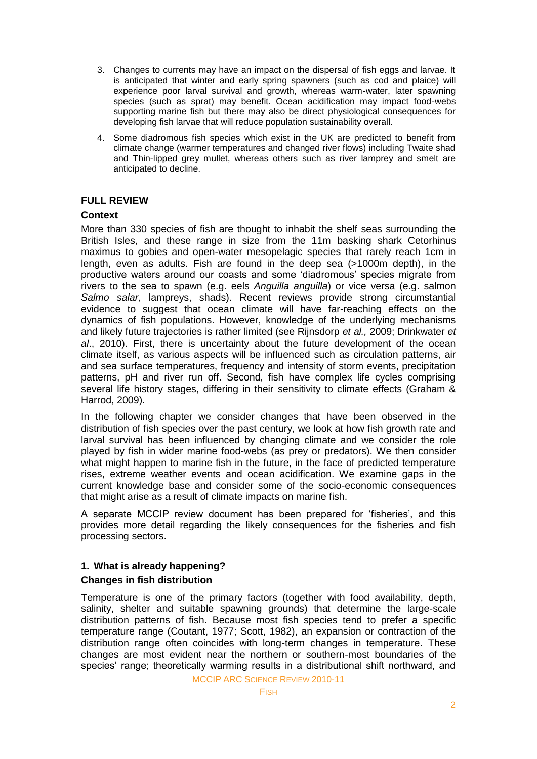- 3. Changes to currents may have an impact on the dispersal of fish eggs and larvae. It is anticipated that winter and early spring spawners (such as cod and plaice) will experience poor larval survival and growth, whereas warm-water, later spawning species (such as sprat) may benefit. Ocean acidification may impact food-webs supporting marine fish but there may also be direct physiological consequences for developing fish larvae that will reduce population sustainability overall.
- 4. Some diadromous fish species which exist in the UK are predicted to benefit from climate change (warmer temperatures and changed river flows) including Twaite shad and Thin-lipped grey mullet, whereas others such as river lamprey and smelt are anticipated to decline.

## **FULL REVIEW**

## **Context**

More than 330 species of fish are thought to inhabit the shelf seas surrounding the British Isles, and these range in size from the 11m basking shark Cetorhinus maximus to gobies and open-water mesopelagic species that rarely reach 1cm in length, even as adults. Fish are found in the deep sea (>1000m depth), in the productive waters around our coasts and some 'diadromous' species migrate from rivers to the sea to spawn (e.g. eels *Anguilla anguilla*) or vice versa (e.g. salmon *Salmo salar*, lampreys, shads). Recent reviews provide strong circumstantial evidence to suggest that ocean climate will have far-reaching effects on the dynamics of fish populations. However, knowledge of the underlying mechanisms and likely future trajectories is rather limited (see Rijnsdorp *et al.,* 2009; Drinkwater *et al*., 2010). First, there is uncertainty about the future development of the ocean climate itself, as various aspects will be influenced such as circulation patterns, air and sea surface temperatures, frequency and intensity of storm events, precipitation patterns, pH and river run off. Second, fish have complex life cycles comprising several life history stages, differing in their sensitivity to climate effects (Graham & Harrod, 2009).

In the following chapter we consider changes that have been observed in the distribution of fish species over the past century, we look at how fish growth rate and larval survival has been influenced by changing climate and we consider the role played by fish in wider marine food-webs (as prey or predators). We then consider what might happen to marine fish in the future, in the face of predicted temperature rises, extreme weather events and ocean acidification. We examine gaps in the current knowledge base and consider some of the socio-economic consequences that might arise as a result of climate impacts on marine fish.

A separate MCCIP review document has been prepared for 'fisheries', and this provides more detail regarding the likely consequences for the fisheries and fish processing sectors.

# **1. What is already happening?**

# **Changes in fish distribution**

Temperature is one of the primary factors (together with food availability, depth, salinity, shelter and suitable spawning grounds) that determine the large-scale distribution patterns of fish. Because most fish species tend to prefer a specific temperature range (Coutant, 1977; Scott, 1982), an expansion or contraction of the distribution range often coincides with long-term changes in temperature. These changes are most evident near the northern or southern-most boundaries of the species' range; theoretically warming results in a distributional shift northward, and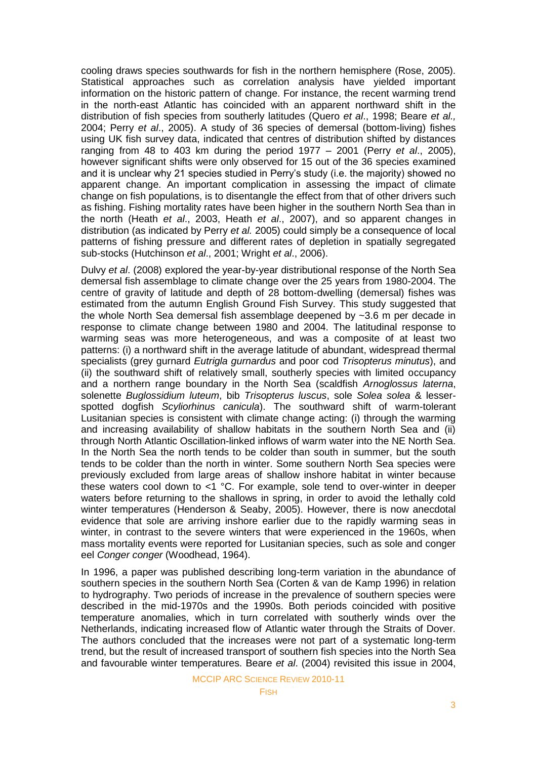cooling draws species southwards for fish in the northern hemisphere (Rose, 2005). Statistical approaches such as correlation analysis have yielded important information on the historic pattern of change. For instance, the recent warming trend in the north-east Atlantic has coincided with an apparent northward shift in the distribution of fish species from southerly latitudes (Quero *et al*., 1998; Beare *et al.,* 2004; Perry *et al*., 2005). A study of 36 species of demersal (bottom-living) fishes using UK fish survey data, indicated that centres of distribution shifted by distances ranging from 48 to 403 km during the period 1977 – 2001 (Perry *et al*., 2005), however significant shifts were only observed for 15 out of the 36 species examined and it is unclear why 21 species studied in Perry's study (i.e. the majority) showed no apparent change. An important complication in assessing the impact of climate change on fish populations, is to disentangle the effect from that of other drivers such as fishing. Fishing mortality rates have been higher in the southern North Sea than in the north (Heath *et al*., 2003, Heath *et al*., 2007), and so apparent changes in distribution (as indicated by Perry *et al.* 2005) could simply be a consequence of local patterns of fishing pressure and different rates of depletion in spatially segregated sub-stocks (Hutchinson *et al*., 2001; Wright *et al*., 2006).

Dulvy *et al*. (2008) explored the year-by-year distributional response of the North Sea demersal fish assemblage to climate change over the 25 years from 1980-2004. The centre of gravity of latitude and depth of 28 bottom-dwelling (demersal) fishes was estimated from the autumn English Ground Fish Survey. This study suggested that the whole North Sea demersal fish assemblage deepened by ~3.6 m per decade in response to climate change between 1980 and 2004. The latitudinal response to warming seas was more heterogeneous, and was a composite of at least two patterns: (i) a northward shift in the average latitude of abundant, widespread thermal specialists (grey gurnard *Eutrigla gurnardus* and poor cod *Trisopterus minutus*), and (ii) the southward shift of relatively small, southerly species with limited occupancy and a northern range boundary in the North Sea (scaldfish *Arnoglossus laterna*, solenette *Buglossidium luteum*, bib *Trisopterus luscus*, sole *Solea solea* & lesserspotted dogfish *Scyliorhinus canicula*). The southward shift of warm-tolerant Lusitanian species is consistent with climate change acting: (i) through the warming and increasing availability of shallow habitats in the southern North Sea and (ii) through North Atlantic Oscillation-linked inflows of warm water into the NE North Sea. In the North Sea the north tends to be colder than south in summer, but the south tends to be colder than the north in winter. Some southern North Sea species were previously excluded from large areas of shallow inshore habitat in winter because these waters cool down to  $\lt 1$  °C. For example, sole tend to over-winter in deeper waters before returning to the shallows in spring, in order to avoid the lethally cold winter temperatures (Henderson & Seaby, 2005). However, there is now anecdotal evidence that sole are arriving inshore earlier due to the rapidly warming seas in winter, in contrast to the severe winters that were experienced in the 1960s, when mass mortality events were reported for Lusitanian species, such as sole and conger eel *Conger conger* (Woodhead, 1964).

In 1996, a paper was published describing long-term variation in the abundance of southern species in the southern North Sea (Corten & van de Kamp 1996) in relation to hydrography. Two periods of increase in the prevalence of southern species were described in the mid-1970s and the 1990s. Both periods coincided with positive temperature anomalies, which in turn correlated with southerly winds over the Netherlands, indicating increased flow of Atlantic water through the Straits of Dover. The authors concluded that the increases were not part of a systematic long-term trend, but the result of increased transport of southern fish species into the North Sea and favourable winter temperatures. Beare *et al*. (2004) revisited this issue in 2004,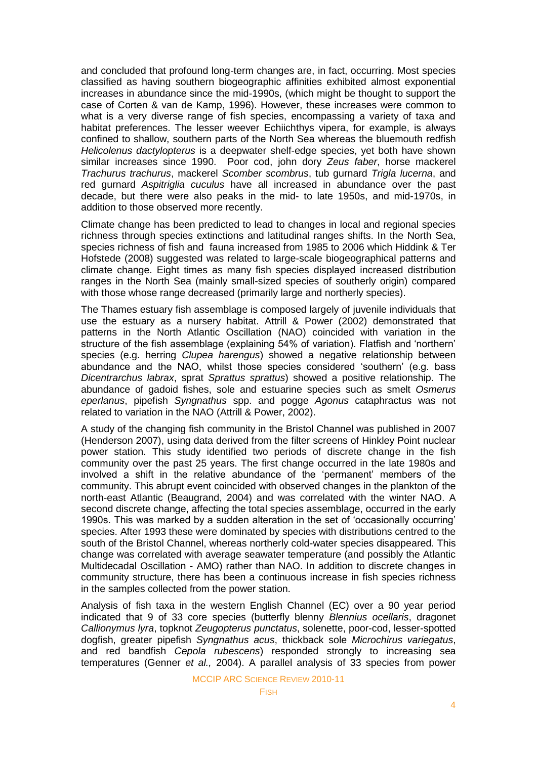and concluded that profound long-term changes are, in fact, occurring. Most species classified as having southern biogeographic affinities exhibited almost exponential increases in abundance since the mid-1990s, (which might be thought to support the case of Corten & van de Kamp, 1996). However, these increases were common to what is a very diverse range of fish species, encompassing a variety of taxa and habitat preferences. The lesser weever [Echiichthys vipera,](http://en.wikipedia.org/wiki/Echiichthys_vipera) for example, is always confined to shallow, southern parts of the North Sea whereas the bluemouth redfish *Helicolenus dactylopterus* is a deepwater shelf-edge species, yet both have shown similar increases since 1990. Poor cod, john dory *Zeus faber*, horse mackerel *Trachurus trachurus*, mackerel *Scomber scombrus*, tub gurnard *Trigla lucerna*, and red gurnard *Aspitriglia cuculus* have all increased in abundance over the past decade, but there were also peaks in the mid- to late 1950s, and mid-1970s, in addition to those observed more recently.

Climate change has been predicted to lead to changes in local and regional species richness through species extinctions and latitudinal ranges shifts. In the North Sea, species richness of fish and fauna increased from 1985 to 2006 which Hiddink & Ter Hofstede (2008) suggested was related to large-scale biogeographical patterns and climate change. Eight times as many fish species displayed increased distribution ranges in the North Sea (mainly small-sized species of southerly origin) compared with those whose range decreased (primarily large and northerly species).

The Thames estuary fish assemblage is composed largely of juvenile individuals that use the estuary as a nursery habitat. Attrill & Power (2002) demonstrated that patterns in the North Atlantic Oscillation (NAO) coincided with variation in the structure of the fish assemblage (explaining 54% of variation). Flatfish and 'northern' species (e.g. herring *Clupea harengus*) showed a negative relationship between abundance and the NAO, whilst those species considered 'southern' (e.g. bass *Dicentrarchus labrax*, sprat *Sprattus sprattus*) showed a positive relationship. The abundance of gadoid fishes, sole and estuarine species such as smelt *Osmerus eperlanus*, pipefish *Syngnathus* spp. and pogge *Agonus* cataphractus was not related to variation in the NAO (Attrill & Power, 2002).

A study of the changing fish community in the Bristol Channel was published in 2007 (Henderson 2007), using data derived from the filter screens of Hinkley Point nuclear power station. This study identified two periods of discrete change in the fish community over the past 25 years. The first change occurred in the late 1980s and involved a shift in the relative abundance of the 'permanent' members of the community. This abrupt event coincided with observed changes in the plankton of the north-east Atlantic (Beaugrand, 2004) and was correlated with the winter NAO. A second discrete change, affecting the total species assemblage, occurred in the early 1990s. This was marked by a sudden alteration in the set of 'occasionally occurring' species. After 1993 these were dominated by species with distributions centred to the south of the Bristol Channel, whereas northerly cold-water species disappeared. This change was correlated with average seawater temperature (and possibly the Atlantic Multidecadal Oscillation - AMO) rather than NAO. In addition to discrete changes in community structure, there has been a continuous increase in fish species richness in the samples collected from the power station.

Analysis of fish taxa in the western English Channel (EC) over a 90 year period indicated that 9 of 33 core species (butterfly blenny *Blennius ocellaris*, dragonet *Callionymus lyra*, topknot *Zeugopterus punctatus*, solenette, poor-cod, lesser-spotted dogfish, greater pipefish *Syngnathus acus*, thickback sole *Microchirus variegatus*, and red bandfish *Cepola rubescens*) responded strongly to increasing sea temperatures (Genner *et al.,* 2004). A parallel analysis of 33 species from power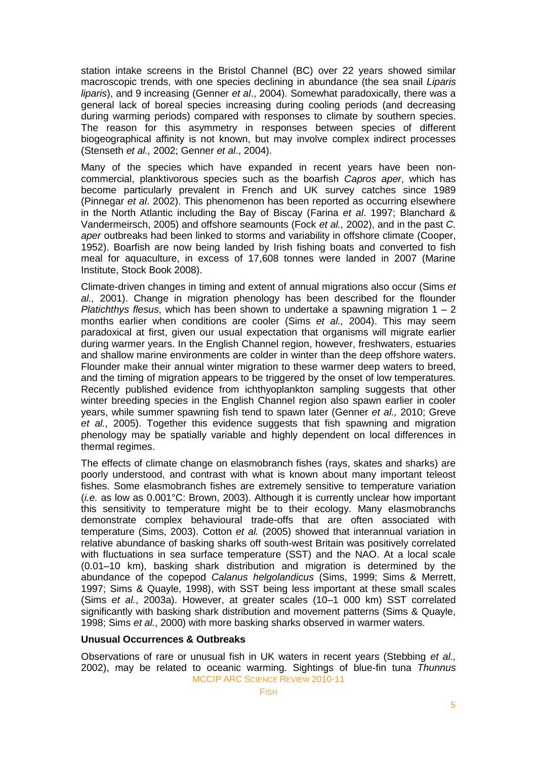station intake screens in the Bristol Channel (BC) over 22 years showed similar macroscopic trends, with one species declining in abundance (the sea snail *Liparis liparis*), and 9 increasing (Genner *et al*., 2004). Somewhat paradoxically, there was a general lack of boreal species increasing during cooling periods (and decreasing during warming periods) compared with responses to climate by southern species. The reason for this asymmetry in responses between species of different biogeographical affinity is not known, but may involve complex indirect processes (Stenseth *et al.,* 2002; Genner *et al*., 2004).

Many of the species which have expanded in recent years have been noncommercial, planktivorous species such as the boarfish *Capros aper*, which has become particularly prevalent in French and UK survey catches since 1989 (Pinnegar *et al*. 2002). This phenomenon has been reported as occurring elsewhere in the North Atlantic including the Bay of Biscay (Farina *et al*. 1997; Blanchard & Vandermeirsch, 2005) and offshore seamounts (Fock *et al.,* 2002), and in the past *C. aper* outbreaks had been linked to storms and variability in offshore climate (Cooper, 1952). Boarfish are now being landed by Irish fishing boats and converted to fish meal for aquaculture, in excess of 17,608 tonnes were landed in 2007 (Marine Institute, Stock Book 2008).

Climate-driven changes in timing and extent of annual migrations also occur (Sims *et al.,* 2001). Change in migration phenology has been described for the flounder *Platichthys flesus*, which has been shown to undertake a spawning migration 1 – 2 months earlier when conditions are cooler (Sims *et al.,* 2004). This may seem paradoxical at first, given our usual expectation that organisms will migrate earlier during warmer years. In the English Channel region, however, freshwaters, estuaries and shallow marine environments are colder in winter than the deep offshore waters. Flounder make their annual winter migration to these warmer deep waters to breed, and the timing of migration appears to be triggered by the onset of low temperatures. Recently published evidence from ichthyoplankton sampling suggests that other winter breeding species in the English Channel region also spawn earlier in cooler years, while summer spawning fish tend to spawn later (Genner *et al.,* 2010; Greve *et al.,* 2005). Together this evidence suggests that fish spawning and migration phenology may be spatially variable and highly dependent on local differences in thermal regimes.

The effects of climate change on elasmobranch fishes (rays, skates and sharks) are poorly understood, and contrast with what is known about many important teleost fishes. Some elasmobranch fishes are extremely sensitive to temperature variation (*i.e.* as low as 0.001°C: Brown, 2003). Although it is currently unclear how important this sensitivity to temperature might be to their ecology. Many elasmobranchs demonstrate complex behavioural trade-offs that are often associated with temperature (Sims, 2003). Cotton *et al.* (2005) showed that interannual variation in relative abundance of basking sharks off south-west Britain was positively correlated with fluctuations in sea surface temperature (SST) and the NAO. At a local scale (0.01–10 km), basking shark distribution and migration is determined by the abundance of the copepod *Calanus helgolandicus* (Sims, 1999; Sims & Merrett, 1997; Sims & Quayle, 1998), with SST being less important at these small scales (Sims *et al.*, 2003a). However, at greater scales (10–1 000 km) SST correlated significantly with basking shark distribution and movement patterns (Sims & Quayle, 1998; Sims *et al.*, 2000) with more basking sharks observed in warmer waters.

#### **Unusual Occurrences & Outbreaks**

MCCIP ARC SCIENCE REVIEW 2010-11 Observations of rare or unusual fish in UK waters in recent years (Stebbing *et al.,* 2002), may be related to oceanic warming. Sightings of blue-fin tuna *Thunnus*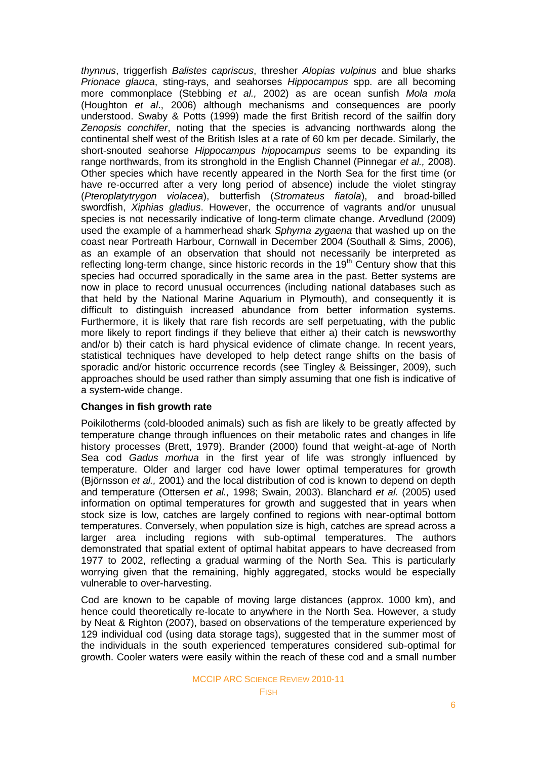*thynnus*, triggerfish *Balistes capriscus*, thresher *Alopias vulpinus* and blue sharks *Prionace glauca*, sting-rays, and seahorses *Hippocampus* spp. are all becoming more commonplace (Stebbing *et al.,* 2002) as are ocean sunfish *Mola mola* (Houghton *et al*., 2006) although mechanisms and consequences are poorly understood. Swaby & Potts (1999) made the first British record of the sailfin dory *Zenopsis conchifer*, noting that the species is advancing northwards along the continental shelf west of the British Isles at a rate of 60 km per decade. Similarly, the short-snouted seahorse *Hippocampus hippocampus* seems to be expanding its range northwards, from its stronghold in the English Channel (Pinnegar *et al.,* 2008). Other species which have recently appeared in the North Sea for the first time (or have re-occurred after a very long period of absence) include the violet stingray (*Pteroplatytrygon violacea*), butterfish (*Stromateus fiatola*), and broad-billed swordfish, *Xiphias gladius*. However, the occurrence of vagrants and/or unusual species is not necessarily indicative of long-term climate change. Arvedlund (2009) used the example of a hammerhead shark *Sphyrna zygaena* that washed up on the coast near Portreath Harbour, Cornwall in December 2004 (Southall & Sims, 2006), as an example of an observation that should not necessarily be interpreted as reflecting long-term change, since historic records in the  $19<sup>th</sup>$  Century show that this species had occurred sporadically in the same area in the past. Better systems are now in place to record unusual occurrences (including national databases such as that held by the National Marine Aquarium in Plymouth), and consequently it is difficult to distinguish increased abundance from better information systems. Furthermore, it is likely that rare fish records are self perpetuating, with the public more likely to report findings if they believe that either a) their catch is newsworthy and/or b) their catch is hard physical evidence of climate change. In recent years, statistical techniques have developed to help detect range shifts on the basis of sporadic and/or historic occurrence records (see Tingley & Beissinger, 2009), such approaches should be used rather than simply assuming that one fish is indicative of a system-wide change.

## **Changes in fish growth rate**

Poikilotherms (cold-blooded animals) such as fish are likely to be greatly affected by temperature change through influences on their metabolic rates and changes in life history processes (Brett, 1979). Brander (2000) found that weight-at-age of North Sea cod *Gadus morhua* in the first year of life was strongly influenced by temperature. Older and larger cod have lower optimal temperatures for growth (Björnsson *et al.,* 2001) and the local distribution of cod is known to depend on depth and temperature (Ottersen *et al.,* 1998; Swain, 2003). Blanchard *et al.* (2005) used information on optimal temperatures for growth and suggested that in years when stock size is low, catches are largely confined to regions with near-optimal bottom temperatures. Conversely, when population size is high, catches are spread across a larger area including regions with sub-optimal temperatures. The authors demonstrated that spatial extent of optimal habitat appears to have decreased from 1977 to 2002, reflecting a gradual warming of the North Sea. This is particularly worrying given that the remaining, highly aggregated, stocks would be especially vulnerable to over-harvesting.

Cod are known to be capable of moving large distances (approx. 1000 km), and hence could theoretically re-locate to anywhere in the North Sea. However, a study by Neat & Righton (2007), based on observations of the temperature experienced by 129 individual cod (using data storage tags), suggested that in the summer most of the individuals in the south experienced temperatures considered sub-optimal for growth. Cooler waters were easily within the reach of these cod and a small number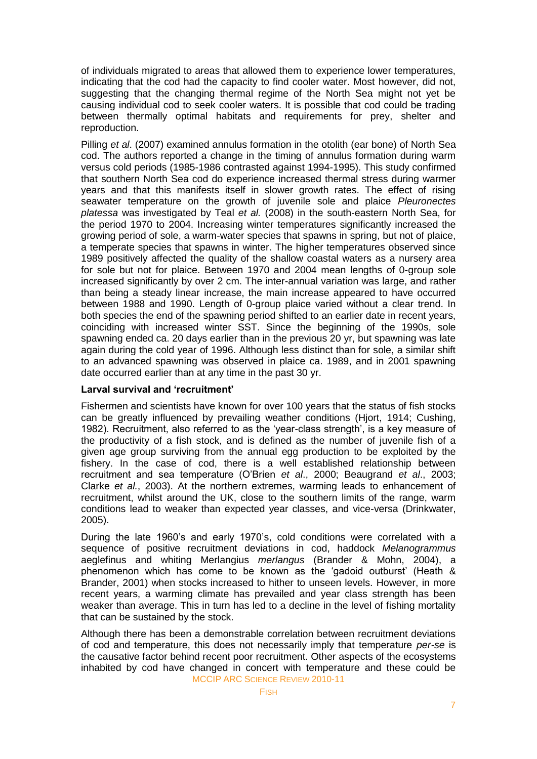of individuals migrated to areas that allowed them to experience lower temperatures, indicating that the cod had the capacity to find cooler water. Most however, did not, suggesting that the changing thermal regime of the North Sea might not yet be causing individual cod to seek cooler waters. It is possible that cod could be trading between thermally optimal habitats and requirements for prey, shelter and reproduction.

Pilling *et al*. (2007) examined annulus formation in the otolith (ear bone) of North Sea cod. The authors reported a change in the timing of annulus formation during warm versus cold periods (1985-1986 contrasted against 1994-1995). This study confirmed that southern North Sea cod do experience increased thermal stress during warmer years and that this manifests itself in slower growth rates. The effect of rising seawater temperature on the growth of juvenile sole and plaice *Pleuronectes platessa* was investigated by Teal *et al.* (2008) in the south-eastern North Sea, for the period 1970 to 2004. Increasing winter temperatures significantly increased the growing period of sole, a warm-water species that spawns in spring, but not of plaice, a temperate species that spawns in winter. The higher temperatures observed since 1989 positively affected the quality of the shallow coastal waters as a nursery area for sole but not for plaice. Between 1970 and 2004 mean lengths of 0-group sole increased significantly by over 2 cm. The inter-annual variation was large, and rather than being a steady linear increase, the main increase appeared to have occurred between 1988 and 1990. Length of 0-group plaice varied without a clear trend. In both species the end of the spawning period shifted to an earlier date in recent years, coinciding with increased winter SST. Since the beginning of the 1990s, sole spawning ended ca. 20 days earlier than in the previous 20 yr, but spawning was late again during the cold year of 1996. Although less distinct than for sole, a similar shift to an advanced spawning was observed in plaice ca. 1989, and in 2001 spawning date occurred earlier than at any time in the past 30 yr.

## **Larval survival and 'recruitment'**

Fishermen and scientists have known for over 100 years that the status of fish stocks can be greatly influenced by prevailing weather conditions (Hjort, 1914; Cushing, 1982). Recruitment, also referred to as the 'year-class strength', is a key measure of the productivity of a fish stock, and is defined as the number of juvenile fish of a given age group surviving from the annual egg production to be exploited by the fishery. In the case of cod, there is a well established relationship between recruitment and sea temperature (O'Brien *et al*., 2000; Beaugrand *et al*., 2003; Clarke *et al.*, 2003). At the northern extremes, warming leads to enhancement of recruitment, whilst around the UK, close to the southern limits of the range, warm conditions lead to weaker than expected year classes, and vice-versa (Drinkwater, 2005).

During the late 1960's and early 1970's, cold conditions were correlated with a sequence of positive recruitment deviations in cod, haddock *Melanogrammus*  aeglefinus and whiting Merlangius *merlangus* (Brander & Mohn, 2004), a phenomenon which has come to be known as the 'gadoid outburst' (Heath & Brander, 2001) when stocks increased to hither to unseen levels. However, in more recent years, a warming climate has prevailed and year class strength has been weaker than average. This in turn has led to a decline in the level of fishing mortality that can be sustained by the stock.

MCCIP ARC SCIENCE REVIEW 2010-11 Although there has been a demonstrable correlation between recruitment deviations of cod and temperature, this does not necessarily imply that temperature *per-se* is the causative factor behind recent poor recruitment. Other aspects of the ecosystems inhabited by cod have changed in concert with temperature and these could be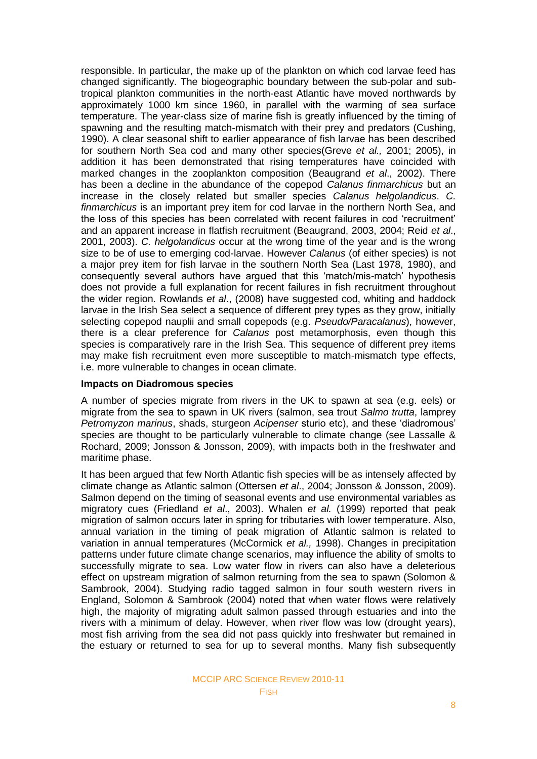responsible. In particular, the make up of the plankton on which cod larvae feed has changed significantly. The biogeographic boundary between the sub-polar and subtropical plankton communities in the north-east Atlantic have moved northwards by approximately 1000 km since 1960, in parallel with the warming of sea surface temperature. The year-class size of marine fish is greatly influenced by the timing of spawning and the resulting match-mismatch with their prey and predators (Cushing, 1990). A clear seasonal shift to earlier appearance of fish larvae has been described for southern North Sea cod and many other species(Greve *et al.,* 2001; 2005), in addition it has been demonstrated that rising temperatures have coincided with marked changes in the zooplankton composition (Beaugrand *et al*., 2002). There has been a decline in the abundance of the copepod *Calanus finmarchicus* but an increase in the closely related but smaller species *Calanus helgolandicus*. *C. finmarchicus* is an important prey item for cod larvae in the northern North Sea, and the loss of this species has been correlated with recent failures in cod 'recruitment' and an apparent increase in flatfish recruitment (Beaugrand, 2003, 2004; Reid *et al*., 2001, 2003). *C. helgolandicus* occur at the wrong time of the year and is the wrong size to be of use to emerging cod-larvae. However *Calanus* (of either species) is not a major prey item for fish larvae in the southern North Sea (Last 1978, 1980), and consequently several authors have argued that this 'match/mis-match' hypothesis does not provide a full explanation for recent failures in fish recruitment throughout the wider region. Rowlands *et al*., (2008) have suggested cod, whiting and haddock larvae in the Irish Sea select a sequence of different prey types as they grow, initially selecting copepod nauplii and small copepods (e.g. *Pseudo/Paracalanus*), however, there is a clear preference for *Calanus* post metamorphosis, even though this species is comparatively rare in the Irish Sea. This sequence of different prey items may make fish recruitment even more susceptible to match-mismatch type effects, i.e. more vulnerable to changes in ocean climate.

#### **Impacts on Diadromous species**

A number of species migrate from rivers in the UK to spawn at sea (e.g. eels) or migrate from the sea to spawn in UK rivers (salmon, sea trout *Salmo trutta*, lamprey *Petromyzon marinus*, shads, sturgeon *Acipenser* sturio etc), and these ‗diadromous' species are thought to be particularly vulnerable to climate change (see Lassalle & Rochard, 2009; Jonsson & Jonsson, 2009), with impacts both in the freshwater and maritime phase.

It has been argued that few North Atlantic fish species will be as intensely affected by climate change as Atlantic salmon (Ottersen *et al*., 2004; Jonsson & Jonsson, 2009). Salmon depend on the timing of seasonal events and use environmental variables as migratory cues (Friedland *et al*., 2003). Whalen *et al.* (1999) reported that peak migration of salmon occurs later in spring for tributaries with lower temperature. Also, annual variation in the timing of peak migration of Atlantic salmon is related to variation in annual temperatures (McCormick *et al.,* 1998). Changes in precipitation patterns under future climate change scenarios, may influence the ability of smolts to successfully migrate to sea. Low water flow in rivers can also have a deleterious effect on upstream migration of salmon returning from the sea to spawn (Solomon & Sambrook, 2004). Studying radio tagged salmon in four south western rivers in England, Solomon & Sambrook (2004) noted that when water flows were relatively high, the majority of migrating adult salmon passed through estuaries and into the rivers with a minimum of delay. However, when river flow was low (drought years), most fish arriving from the sea did not pass quickly into freshwater but remained in the estuary or returned to sea for up to several months. Many fish subsequently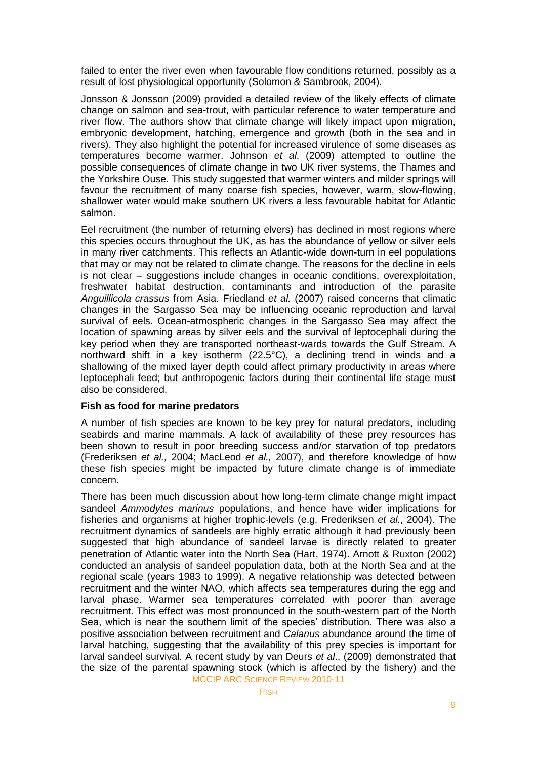failed to enter the river even when favourable flow conditions returned, possibly as a result of lost physiological opportunity (Solomon & Sambrook, 2004).

Jonsson & Jonsson (2009) provided a detailed review of the likely effects of climate change on salmon and sea-trout, with particular reference to water temperature and river flow. The authors show that climate change will likely impact upon migration, embryonic development, hatching, emergence and growth (both in the sea and in rivers). They also highlight the potential for increased virulence of some diseases as temperatures become warmer. Johnson *et al*. (2009) attempted to outline the possible consequences of climate change in two UK river systems, the Thames and the Yorkshire Ouse. This study suggested that warmer winters and milder springs will favour the recruitment of many coarse fish species, however, warm, slow-flowing, shallower water would make southern UK rivers a less favourable habitat for Atlantic salmon.

Eel recruitment (the number of returning elvers) has declined in most regions where this species occurs throughout the UK, as has the abundance of yellow or silver eels in many river catchments. This reflects an Atlantic-wide down-turn in eel populations that may or may not be related to climate change. The reasons for the decline in eels is not clear – suggestions include changes in oceanic conditions, overexploitation, freshwater habitat destruction, contaminants and introduction of the parasite *Anguillicola crassus* from Asia. Friedland *et al.* (2007) raised concerns that climatic changes in the Sargasso Sea may be influencing oceanic reproduction and larval survival of eels. Ocean-atmospheric changes in the Sargasso Sea may affect the location of spawning areas by silver eels and the survival of leptocephali during the key period when they are transported northeast-wards towards the Gulf Stream. A northward shift in a key isotherm (22.5°C), a declining trend in winds and a shallowing of the mixed layer depth could affect primary productivity in areas where leptocephali feed; but anthropogenic factors during their continental life stage must also be considered.

## **Fish as food for marine predators**

A number of fish species are known to be key prey for natural predators, including seabirds and marine mammals. A lack of availability of these prey resources has been shown to result in poor breeding success and/or starvation of top predators (Frederiksen *et al.,* 2004; MacLeod *et al.,* 2007), and therefore knowledge of how these fish species might be impacted by future climate change is of immediate concern.

MCCIP ARC SCIENCE REVIEW 2010-11 There has been much discussion about how long-term climate change might impact sandeel *Ammodytes marinus* populations, and hence have wider implications for fisheries and organisms at higher trophic-levels (e.g. Frederiksen *et al.*, 2004). The recruitment dynamics of sandeels are highly erratic although it had previously been suggested that high abundance of sandeel larvae is directly related to greater penetration of Atlantic water into the North Sea (Hart, 1974). Arnott & Ruxton (2002) conducted an analysis of sandeel population data, both at the North Sea and at the regional scale (years 1983 to 1999). A negative relationship was detected between recruitment and the winter NAO, which affects sea temperatures during the egg and larval phase. Warmer sea temperatures correlated with poorer than average recruitment. This effect was most pronounced in the south-western part of the North Sea, which is near the southern limit of the species' distribution. There was also a positive association between recruitment and *Calanus* abundance around the time of larval hatching, suggesting that the availability of this prey species is important for larval sandeel survival. A recent study by van Deurs *et al*., (2009) demonstrated that the size of the parental spawning stock (which is affected by the fishery) and the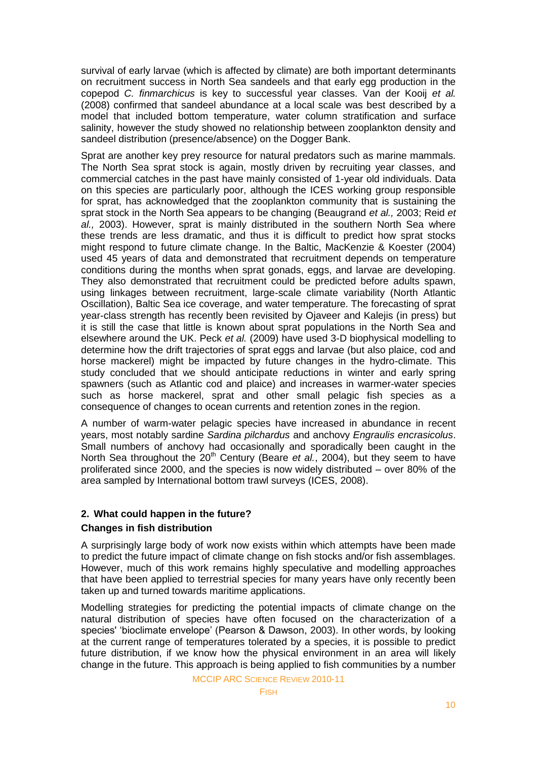survival of early larvae (which is affected by climate) are both important determinants on recruitment success in North Sea sandeels and that early egg production in the copepod *C. finmarchicus* is key to successful year classes. Van der Kooij *et al.* (2008) confirmed that sandeel abundance at a local scale was best described by a model that included bottom temperature, water column stratification and surface salinity, however the study showed no relationship between zooplankton density and sandeel distribution (presence/absence) on the Dogger Bank.

Sprat are another key prey resource for natural predators such as marine mammals. The North Sea sprat stock is again, mostly driven by recruiting year classes, and commercial catches in the past have mainly consisted of 1-year old individuals. Data on this species are particularly poor, although the ICES working group responsible for sprat, has acknowledged that the zooplankton community that is sustaining the sprat stock in the North Sea appears to be changing (Beaugrand *et al.,* 2003; Reid *et al.,* 2003). However, sprat is mainly distributed in the southern North Sea where these trends are less dramatic, and thus it is difficult to predict how sprat stocks might respond to future climate change. In the Baltic, MacKenzie & Koester (2004) used 45 years of data and demonstrated that recruitment depends on temperature conditions during the months when sprat gonads, eggs, and larvae are developing. They also demonstrated that recruitment could be predicted before adults spawn, using linkages between recruitment, large-scale climate variability (North Atlantic Oscillation), Baltic Sea ice coverage, and water temperature. The forecasting of sprat year-class strength has recently been revisited by Ojaveer and Kalejis (in press) but it is still the case that little is known about sprat populations in the North Sea and elsewhere around the UK. Peck *et al.* (2009) have used 3-D biophysical modelling to determine how the drift trajectories of sprat eggs and larvae (but also plaice, cod and horse mackerel) might be impacted by future changes in the hydro-climate. This study concluded that we should anticipate reductions in winter and early spring spawners (such as Atlantic cod and plaice) and increases in warmer-water species such as horse mackerel, sprat and other small pelagic fish species as a consequence of changes to ocean currents and retention zones in the region.

A number of warm-water pelagic species have increased in abundance in recent years, most notably sardine *Sardina pilchardus* and anchovy *Engraulis encrasicolus*. Small numbers of anchovy had occasionally and sporadically been caught in the North Sea throughout the 20<sup>th</sup> Century (Beare *et al.*, 2004), but they seem to have proliferated since 2000, and the species is now widely distributed – over 80% of the area sampled by International bottom trawl surveys (ICES, 2008).

# **2. What could happen in the future?**

#### **Changes in fish distribution**

A surprisingly large body of work now exists within which attempts have been made to predict the future impact of climate change on fish stocks and/or fish assemblages. However, much of this work remains highly speculative and modelling approaches that have been applied to terrestrial species for many years have only recently been taken up and turned towards maritime applications.

Modelling strategies for predicting the potential impacts of climate change on the natural distribution of species have often focused on the characterization of a species' 'bioclimate envelope' (Pearson & Dawson, 2003). In other words, by looking at the current range of temperatures tolerated by a species, it is possible to predict future distribution, if we know how the physical environment in an area will likely change in the future. This approach is being applied to fish communities by a number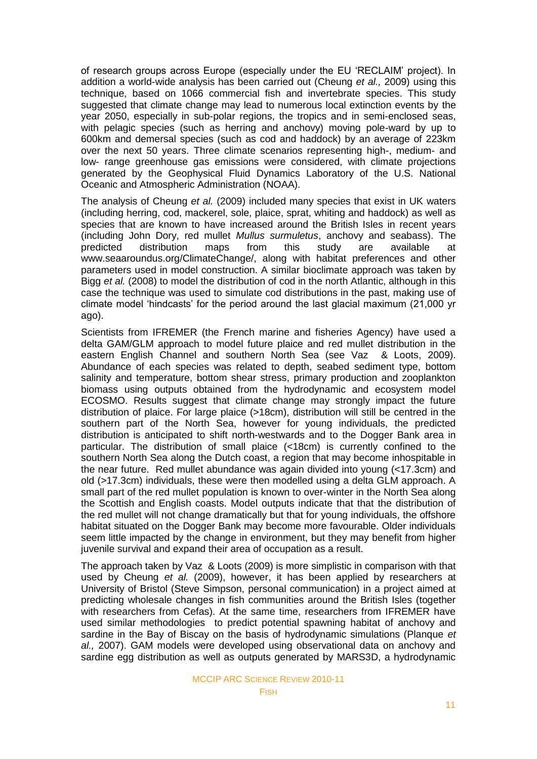of research groups across Europe (especially under the EU 'RECLAIM' project). In addition a world-wide analysis has been carried out (Cheung *et al.,* 2009) using this technique, based on 1066 commercial fish and invertebrate species. This study suggested that climate change may lead to numerous local extinction events by the year 2050, especially in sub-polar regions, the tropics and in semi-enclosed seas, with pelagic species (such as herring and anchovy) moving pole-ward by up to 600km and demersal species (such as cod and haddock) by an average of 223km over the next 50 years. Three climate scenarios representing high-, medium- and low- range greenhouse gas emissions were considered, with climate projections generated by the Geophysical Fluid Dynamics Laboratory of the U.S. National Oceanic and Atmospheric Administration (NOAA).

The analysis of Cheung *et al.* (2009) included many species that exist in UK waters (including herring, cod, mackerel, sole, plaice, sprat, whiting and haddock) as well as species that are known to have increased around the British Isles in recent years (including John Dory, red mullet *Mullus surmuletus*, anchovy and seabass). The predicted distribution maps from this study are available at www.seaaroundus.org/ClimateChange/, along with habitat preferences and other parameters used in model construction. A similar bioclimate approach was taken by Bigg *et al.* (2008) to model the distribution of cod in the north Atlantic, although in this case the technique was used to simulate cod distributions in the past, making use of climate model ‗hindcasts' for the period around the last glacial maximum (21,000 yr ago).

Scientists from IFREMER (the French marine and fisheries Agency) have used a delta GAM/GLM approach to model future plaice and red mullet distribution in the eastern English Channel and southern North Sea (see Vaz & Loots, 2009). Abundance of each species was related to depth, seabed sediment type, bottom salinity and temperature, bottom shear stress, primary production and zooplankton biomass using outputs obtained from the hydrodynamic and ecosystem model ECOSMO. Results suggest that climate change may strongly impact the future distribution of plaice. For large plaice (>18cm), distribution will still be centred in the southern part of the North Sea, however for young individuals, the predicted distribution is anticipated to shift north-westwards and to the Dogger Bank area in particular. The distribution of small plaice (<18cm) is currently confined to the southern North Sea along the Dutch coast, a region that may become inhospitable in the near future. Red mullet abundance was again divided into young (<17.3cm) and old (>17.3cm) individuals, these were then modelled using a delta GLM approach. A small part of the red mullet population is known to over-winter in the North Sea along the Scottish and English coasts. Model outputs indicate that that the distribution of the red mullet will not change dramatically but that for young individuals, the offshore habitat situated on the Dogger Bank may become more favourable. Older individuals seem little impacted by the change in environment, but they may benefit from higher juvenile survival and expand their area of occupation as a result.

The approach taken by Vaz & Loots (2009) is more simplistic in comparison with that used by Cheung *et al.* (2009), however, it has been applied by researchers at University of Bristol (Steve Simpson, personal communication) in a project aimed at predicting wholesale changes in fish communities around the British Isles (together with researchers from Cefas). At the same time, researchers from IFREMER have used similar methodologies to predict potential spawning habitat of anchovy and sardine in the Bay of Biscay on the basis of hydrodynamic simulations (Planque *et al.,* 2007). GAM models were developed using observational data on anchovy and sardine egg distribution as well as outputs generated by MARS3D, a hydrodynamic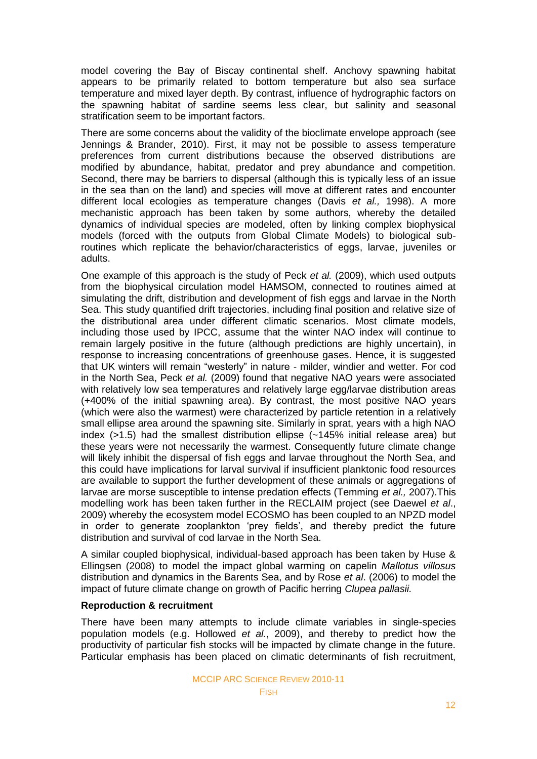model covering the Bay of Biscay continental shelf. Anchovy spawning habitat appears to be primarily related to bottom temperature but also sea surface temperature and mixed layer depth. By contrast, influence of hydrographic factors on the spawning habitat of sardine seems less clear, but salinity and seasonal stratification seem to be important factors.

There are some concerns about the validity of the bioclimate envelope approach (see Jennings & Brander, 2010). First, it may not be possible to assess temperature preferences from current distributions because the observed distributions are modified by abundance, habitat, predator and prey abundance and competition. Second, there may be barriers to dispersal (although this is typically less of an issue in the sea than on the land) and species will move at different rates and encounter different local ecologies as temperature changes (Davis *et al.,* 1998). A more mechanistic approach has been taken by some authors, whereby the detailed dynamics of individual species are modeled, often by linking complex biophysical models (forced with the outputs from Global Climate Models) to biological subroutines which replicate the behavior/characteristics of eggs, larvae, juveniles or adults.

One example of this approach is the study of Peck *et al.* (2009), which used outputs from the biophysical circulation model HAMSOM, connected to routines aimed at simulating the drift, distribution and development of fish eggs and larvae in the North Sea. This study quantified drift trajectories, including final position and relative size of the distributional area under different climatic scenarios. Most climate models, including those used by IPCC, assume that the winter NAO index will continue to remain largely positive in the future (although predictions are highly uncertain), in response to increasing concentrations of greenhouse gases. Hence, it is suggested that UK winters will remain "westerly" in nature - milder, windier and wetter. For cod in the North Sea, Peck *et al.* (2009) found that negative NAO years were associated with relatively low sea temperatures and relatively large egg/larvae distribution areas (+400% of the initial spawning area). By contrast, the most positive NAO years (which were also the warmest) were characterized by particle retention in a relatively small ellipse area around the spawning site. Similarly in sprat, years with a high NAO index (>1.5) had the smallest distribution ellipse (~145% initial release area) but these years were not necessarily the warmest. Consequently future climate change will likely inhibit the dispersal of fish eggs and larvae throughout the North Sea, and this could have implications for larval survival if insufficient planktonic food resources are available to support the further development of these animals or aggregations of larvae are morse susceptible to intense predation effects (Temming *et al.,* 2007).This modelling work has been taken further in the RECLAIM project (see Daewel *et al*., 2009) whereby the ecosystem model ECOSMO has been coupled to an NPZD model in order to generate zooplankton 'prey fields', and thereby predict the future distribution and survival of cod larvae in the North Sea.

A similar coupled biophysical, individual-based approach has been taken by Huse & Ellingsen (2008) to model the impact global warming on capelin *Mallotus villosus* distribution and dynamics in the Barents Sea, and by Rose *et al*. (2006) to model the impact of future climate change on growth of Pacific herring *Clupea pallasii.* 

#### **Reproduction & recruitment**

There have been many attempts to include climate variables in single-species population models (e.g. Hollowed *et al.*, 2009), and thereby to predict how the productivity of particular fish stocks will be impacted by climate change in the future. Particular emphasis has been placed on climatic determinants of fish recruitment,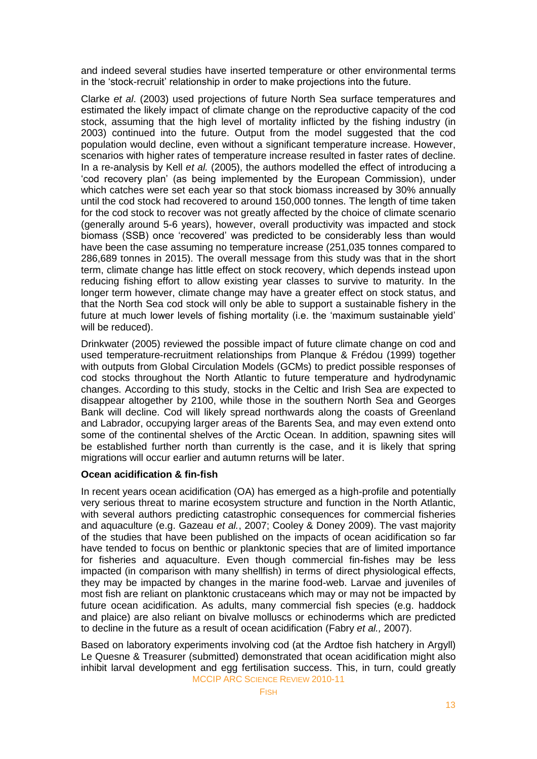and indeed several studies have inserted temperature or other environmental terms in the 'stock-recruit' relationship in order to make projections into the future.

Clarke *et al*. (2003) used projections of future North Sea surface temperatures and estimated the likely impact of climate change on the reproductive capacity of the cod stock, assuming that the high level of mortality inflicted by the fishing industry (in 2003) continued into the future. Output from the model suggested that the cod population would decline, even without a significant temperature increase. However, scenarios with higher rates of temperature increase resulted in faster rates of decline. In a re-analysis by Kell *et al.* (2005), the authors modelled the effect of introducing a ‗cod recovery plan' (as being implemented by the European Commission), under which catches were set each year so that stock biomass increased by 30% annually until the cod stock had recovered to around 150,000 tonnes. The length of time taken for the cod stock to recover was not greatly affected by the choice of climate scenario (generally around 5-6 years), however, overall productivity was impacted and stock biomass (SSB) once ‗recovered' was predicted to be considerably less than would have been the case assuming no temperature increase (251,035 tonnes compared to 286,689 tonnes in 2015). The overall message from this study was that in the short term, climate change has little effect on stock recovery, which depends instead upon reducing fishing effort to allow existing year classes to survive to maturity. In the longer term however, climate change may have a greater effect on stock status, and that the North Sea cod stock will only be able to support a sustainable fishery in the future at much lower levels of fishing mortality (i.e. the 'maximum sustainable yield' will be reduced).

Drinkwater (2005) reviewed the possible impact of future climate change on cod and used temperature-recruitment relationships from Planque & Frédou (1999) together with outputs from Global Circulation Models (GCMs) to predict possible responses of cod stocks throughout the North Atlantic to future temperature and hydrodynamic changes. According to this study, stocks in the Celtic and Irish Sea are expected to disappear altogether by 2100, while those in the southern North Sea and Georges Bank will decline. Cod will likely spread northwards along the coasts of Greenland and Labrador, occupying larger areas of the Barents Sea, and may even extend onto some of the continental shelves of the Arctic Ocean. In addition, spawning sites will be established further north than currently is the case, and it is likely that spring migrations will occur earlier and autumn returns will be later.

## **Ocean acidification & fin-fish**

In recent years ocean acidification (OA) has emerged as a high-profile and potentially very serious threat to marine ecosystem structure and function in the North Atlantic, with several authors predicting catastrophic consequences for commercial fisheries and aquaculture (e.g. Gazeau *et al.*, 2007; Cooley & Doney 2009). The vast majority of the studies that have been published on the impacts of ocean acidification so far have tended to focus on benthic or planktonic species that are of limited importance for fisheries and aquaculture. Even though commercial fin-fishes may be less impacted (in comparison with many shellfish) in terms of direct physiological effects, they may be impacted by changes in the marine food-web. Larvae and juveniles of most fish are reliant on planktonic crustaceans which may or may not be impacted by future ocean acidification. As adults, many commercial fish species (e.g. haddock and plaice) are also reliant on bivalve molluscs or echinoderms which are predicted to decline in the future as a result of ocean acidification (Fabry *et al.,* 2007).

MCCIP ARC SCIENCE REVIEW 2010-11 Based on laboratory experiments involving cod (at the Ardtoe fish hatchery in Argyll) Le Quesne & Treasurer (submitted) demonstrated that ocean acidification might also inhibit larval development and egg fertilisation success. This, in turn, could greatly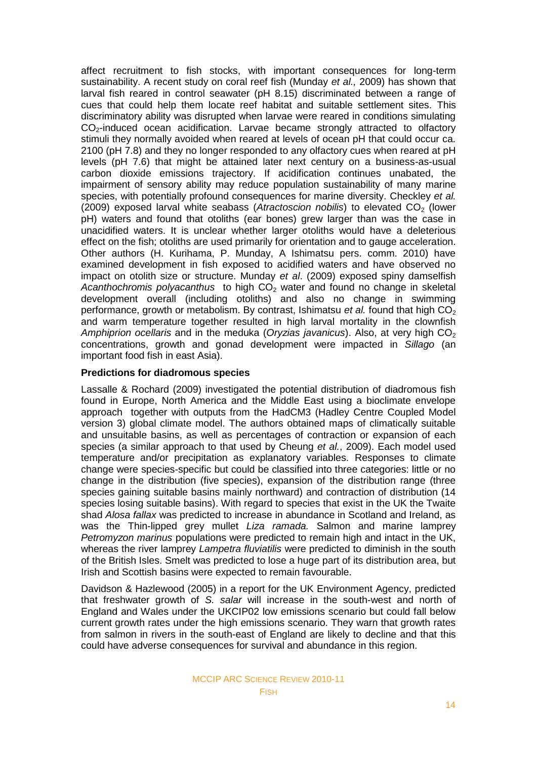affect recruitment to fish stocks, with important consequences for long-term sustainability. A recent study on coral reef fish (Munday *et al.,* 2009) has shown that larval fish reared in control seawater (pH 8.15) discriminated between a range of cues that could help them locate reef habitat and suitable settlement sites. This discriminatory ability was disrupted when larvae were reared in conditions simulating  $CO<sub>2</sub>$ -induced ocean acidification. Larvae became strongly attracted to olfactory stimuli they normally avoided when reared at levels of ocean pH that could occur ca. 2100 (pH 7.8) and they no longer responded to any olfactory cues when reared at pH levels (pH 7.6) that might be attained later next century on a business-as-usual carbon dioxide emissions trajectory. If acidification continues unabated, the impairment of sensory ability may reduce population sustainability of many marine species, with potentially profound consequences for marine diversity. Checkley *et al.* (2009) exposed larval white seabass (Atractoscion nobilis) to elevated CO<sub>2</sub> (lower pH) waters and found that otoliths (ear bones) grew larger than was the case in unacidified waters. It is unclear whether larger otoliths would have a deleterious effect on the fish; otoliths are used primarily for orientation and to gauge acceleration. Other authors (H. Kurihama, P. Munday, A Ishimatsu pers. comm. 2010) have examined development in fish exposed to acidified waters and have observed no impact on otolith size or structure. Munday *et al*. (2009) exposed spiny damselfish *Acanthochromis polyacanthus* to high CO<sub>2</sub> water and found no change in skeletal development overall (including otoliths) and also no change in swimming performance, growth or metabolism. By contrast, Ishimatsu *et al.* found that high CO<sub>2</sub> and warm temperature together resulted in high larval mortality in the clownfish *Amphiprion ocellaris* and in the meduka (*Oryzias javanicus*). Also, at very high CO<sub>2</sub> concentrations, growth and gonad development were impacted in *Sillago* (an important food fish in east Asia).

### **Predictions for diadromous species**

Lassalle & Rochard (2009) investigated the potential distribution of diadromous fish found in Europe, North America and the Middle East using a bioclimate envelope approach together with outputs from the HadCM3 (Hadley Centre Coupled Model version 3) global climate model. The authors obtained maps of climatically suitable and unsuitable basins, as well as percentages of contraction or expansion of each species (a similar approach to that used by Cheung *et al.*, 2009). Each model used temperature and/or precipitation as explanatory variables. Responses to climate change were species-specific but could be classified into three categories: little or no change in the distribution (five species), expansion of the distribution range (three species gaining suitable basins mainly northward) and contraction of distribution (14 species losing suitable basins). With regard to species that exist in the UK the Twaite shad *Alosa fallax* was predicted to increase in abundance in Scotland and Ireland, as was the Thin-lipped grey mullet *Liza ramada.* Salmon and marine lamprey *Petromyzon marinus* populations were predicted to remain high and intact in the UK, whereas the river lamprey *Lampetra fluviatilis* were predicted to diminish in the south of the British Isles. Smelt was predicted to lose a huge part of its distribution area, but Irish and Scottish basins were expected to remain favourable.

Davidson & Hazlewood (2005) in a report for the UK Environment Agency, predicted that freshwater growth of *S. salar* will increase in the south-west and north of England and Wales under the UKCIP02 low emissions scenario but could fall below current growth rates under the high emissions scenario. They warn that growth rates from salmon in rivers in the south-east of England are likely to decline and that this could have adverse consequences for survival and abundance in this region.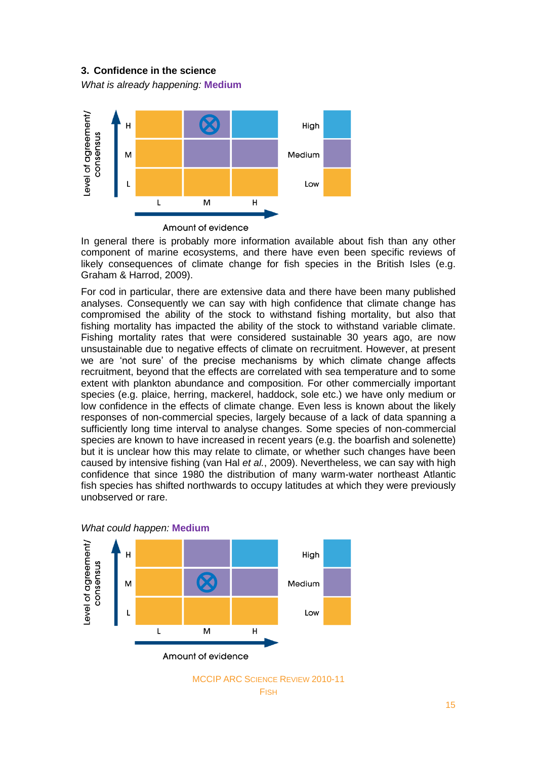## **3. Confidence in the science**

*What is already happening:* **Medium**



In general there is probably more information available about fish than any other component of marine ecosystems, and there have even been specific reviews of likely consequences of climate change for fish species in the British Isles (e.g. Graham & Harrod, 2009).

For cod in particular, there are extensive data and there have been many published analyses. Consequently we can say with high confidence that climate change has compromised the ability of the stock to withstand fishing mortality, but also that fishing mortality has impacted the ability of the stock to withstand variable climate. Fishing mortality rates that were considered sustainable 30 years ago, are now unsustainable due to negative effects of climate on recruitment. However, at present we are 'not sure' of the precise mechanisms by which climate change affects recruitment, beyond that the effects are correlated with sea temperature and to some extent with plankton abundance and composition. For other commercially important species (e.g. plaice, herring, mackerel, haddock, sole etc.) we have only medium or low confidence in the effects of climate change. Even less is known about the likely responses of non-commercial species, largely because of a lack of data spanning a sufficiently long time interval to analyse changes. Some species of non-commercial species are known to have increased in recent years (e.g. the boarfish and solenette) but it is unclear how this may relate to climate, or whether such changes have been caused by intensive fishing (van Hal *et al.*, 2009). Nevertheless, we can say with high confidence that since 1980 the distribution of many warm-water northeast Atlantic fish species has shifted northwards to occupy latitudes at which they were previously unobserved or rare.



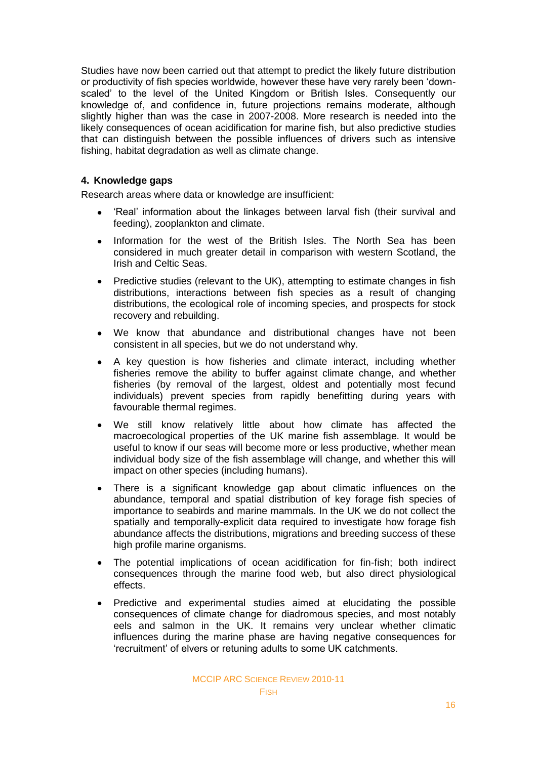Studies have now been carried out that attempt to predict the likely future distribution or productivity of fish species worldwide, however these have very rarely been 'downscaled' to the level of the United Kingdom or British Isles. Consequently our knowledge of, and confidence in, future projections remains moderate, although slightly higher than was the case in 2007-2008. More research is needed into the likely consequences of ocean acidification for marine fish, but also predictive studies that can distinguish between the possible influences of drivers such as intensive fishing, habitat degradation as well as climate change.

## **4. Knowledge gaps**

Research areas where data or knowledge are insufficient:

- ‗Real' information about the linkages between larval fish (their survival and feeding), zooplankton and climate.
- $\bullet$ Information for the west of the British Isles. The North Sea has been considered in much greater detail in comparison with western Scotland, the Irish and Celtic Seas.
- $\bullet$ Predictive studies (relevant to the UK), attempting to estimate changes in fish distributions, interactions between fish species as a result of changing distributions, the ecological role of incoming species, and prospects for stock recovery and rebuilding.
- We know that abundance and distributional changes have not been consistent in all species, but we do not understand why.
- A key question is how fisheries and climate interact, including whether  $\bullet$ fisheries remove the ability to buffer against climate change, and whether fisheries (by removal of the largest, oldest and potentially most fecund individuals) prevent species from rapidly benefitting during years with favourable thermal regimes.
- We still know relatively little about how climate has affected the  $\bullet$ macroecological properties of the UK marine fish assemblage. It would be useful to know if our seas will become more or less productive, whether mean individual body size of the fish assemblage will change, and whether this will impact on other species (including humans).
- There is a significant knowledge gap about climatic influences on the abundance, temporal and spatial distribution of key forage fish species of importance to seabirds and marine mammals. In the UK we do not collect the spatially and temporally-explicit data required to investigate how forage fish abundance affects the distributions, migrations and breeding success of these high profile marine organisms.
- The potential implications of ocean acidification for fin-fish; both indirect  $\bullet$ consequences through the marine food web, but also direct physiological effects.
- Predictive and experimental studies aimed at elucidating the possible  $\bullet$ consequences of climate change for diadromous species, and most notably eels and salmon in the UK. It remains very unclear whether climatic influences during the marine phase are having negative consequences for ‗recruitment' of elvers or retuning adults to some UK catchments.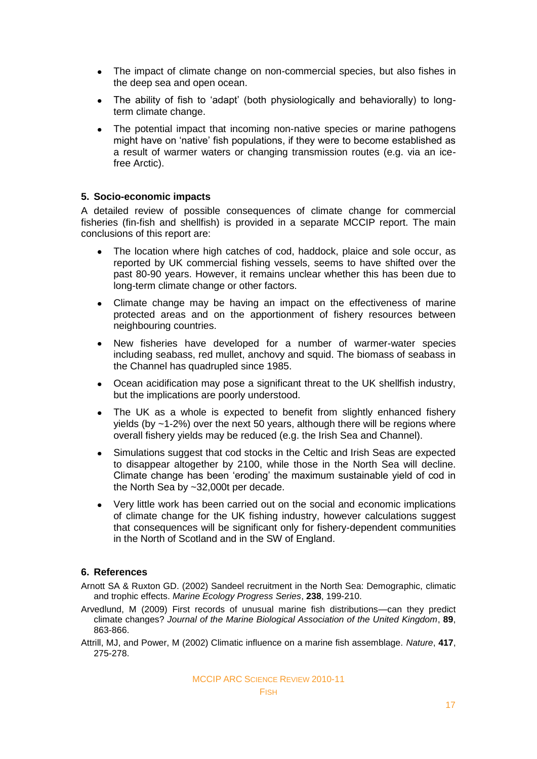- $\bullet$ The impact of climate change on non-commercial species, but also fishes in the deep sea and open ocean.
- The ability of fish to 'adapt' (both physiologically and behaviorally) to long- $\bullet$ term climate change.
- The potential impact that incoming non-native species or marine pathogens might have on 'native' fish populations, if they were to become established as a result of warmer waters or changing transmission routes (e.g. via an icefree Arctic).

### **5. Socio-economic impacts**

A detailed review of possible consequences of climate change for commercial fisheries (fin-fish and shellfish) is provided in a separate MCCIP report. The main conclusions of this report are:

- The location where high catches of cod, haddock, plaice and sole occur, as  $\bullet$ reported by UK commercial fishing vessels, seems to have shifted over the past 80-90 years. However, it remains unclear whether this has been due to long-term climate change or other factors.
- Climate change may be having an impact on the effectiveness of marine  $\bullet$ protected areas and on the apportionment of fishery resources between neighbouring countries.
- New fisheries have developed for a number of warmer-water species  $\bullet$ including seabass, red mullet, anchovy and squid. The biomass of seabass in the Channel has quadrupled since 1985.
- Ocean acidification may pose a significant threat to the UK shellfish industry,  $\bullet$ but the implications are poorly understood.
- The UK as a whole is expected to benefit from slightly enhanced fishery  $\bullet$ vields (by  $\approx$ 1-2%) over the next 50 years, although there will be regions where overall fishery yields may be reduced (e.g. the Irish Sea and Channel).
- $\bullet$ Simulations suggest that cod stocks in the Celtic and Irish Seas are expected to disappear altogether by 2100, while those in the North Sea will decline. Climate change has been 'eroding' the maximum sustainable yield of cod in the North Sea by ~32,000t per decade.
- Very little work has been carried out on the social and economic implications  $\bullet$ of climate change for the UK fishing industry, however calculations suggest that consequences will be significant only for fishery-dependent communities in the North of Scotland and in the SW of England.

#### **6. References**

Arnott SA & Ruxton GD. (2002) Sandeel recruitment in the North Sea: Demographic, climatic and trophic effects. *Marine Ecology Progress Series*, **238**, 199-210.

Arvedlund, M (2009) First records of unusual marine fish distributions—can they predict climate changes? *Journal of the Marine Biological Association of the United Kingdom*, **89**, 863-866.

Attrill, MJ, and Power, M (2002) Climatic influence on a marine fish assemblage. *Nature*, **417**, 275-278.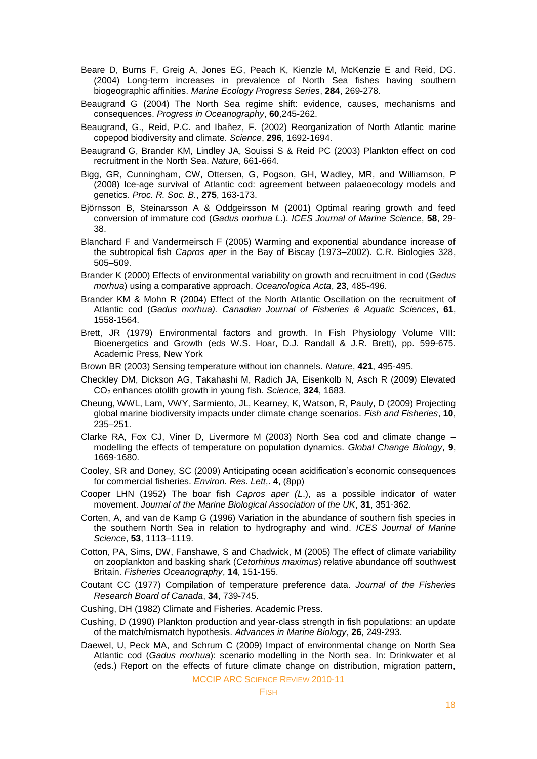- Beare D, Burns F, Greig A, Jones EG, Peach K, Kienzle M, McKenzie E and Reid, DG. (2004) Long-term increases in prevalence of North Sea fishes having southern biogeographic affinities. *Marine Ecology Progress Series*, **284**, 269-278.
- Beaugrand G (2004) The North Sea regime shift: evidence, causes, mechanisms and consequences. *Progress in Oceanography*, **60**,245-262.
- Beaugrand, G., Reid, P.C. and Ibañez, F. (2002) Reorganization of North Atlantic marine copepod biodiversity and climate. *Science*, **296**, 1692-1694.
- Beaugrand G, Brander KM, Lindley JA, Souissi S & Reid PC (2003) Plankton effect on cod recruitment in the North Sea. *Nature*, 661-664.
- Bigg, GR, Cunningham, CW, Ottersen, G, Pogson, GH, Wadley, MR, and Williamson, P (2008) Ice-age survival of Atlantic cod: agreement between palaeoecology models and genetics. *Proc. R. Soc. B.*, **275**, 163-173.
- Björnsson B, Steinarsson A & Oddgeirsson M (2001) Optimal rearing growth and feed conversion of immature cod (*Gadus morhua L*.). *ICES Journal of Marine Science*, **58**, 29- 38.
- Blanchard F and Vandermeirsch F (2005) Warming and exponential abundance increase of the subtropical fish *Capros aper* in the Bay of Biscay (1973–2002). C.R. Biologies 328, 505–509.
- Brander K (2000) Effects of environmental variability on growth and recruitment in cod (*Gadus morhua*) using a comparative approach. *Oceanologica Acta*, **23**, 485-496.
- Brander KM & Mohn R (2004) Effect of the North Atlantic Oscillation on the recruitment of Atlantic cod (*Gadus morhua). Canadian Journal of Fisheries & Aquatic Sciences*, **61**, 1558-1564.
- Brett, JR (1979) Environmental factors and growth. In Fish Physiology Volume VIII: Bioenergetics and Growth (eds W.S. Hoar, D.J. Randall & J.R. Brett), pp. 599-675. Academic Press, New York
- Brown BR (2003) Sensing temperature without ion channels. *Nature*, **421**, 495-495.
- Checkley DM, Dickson AG, Takahashi M, Radich JA, Eisenkolb N, Asch R (2009) Elevated CO<sup>2</sup> enhances otolith growth in young fish. *Science*, **324**, 1683.
- Cheung, WWL, Lam, VWY, Sarmiento, JL, Kearney, K, Watson, R, Pauly, D (2009) Projecting global marine biodiversity impacts under climate change scenarios. *Fish and Fisheries*, **10**, 235–251.
- Clarke RA, Fox CJ, Viner D, Livermore M (2003) North Sea cod and climate change modelling the effects of temperature on population dynamics. *Global Change Biology*, **9**, 1669-1680.
- Cooley, SR and Doney, SC (2009) Anticipating ocean acidification's economic consequences for commercial fisheries. *Environ. Res. Lett*,. **4**, (8pp)
- Cooper LHN (1952) The boar fish *Capros aper (L*.), as a possible indicator of water movement. *Journal of the Marine Biological Association of the UK*, **31**, 351-362.
- Corten, A, and van de Kamp G (1996) Variation in the abundance of southern fish species in the southern North Sea in relation to hydrography and wind. *ICES Journal of Marine Science*, **53**, 1113–1119.
- Cotton, PA, Sims, DW, Fanshawe, S and Chadwick, M (2005) The effect of climate variability on zooplankton and basking shark (*Cetorhinus maximus*) relative abundance off southwest Britain. *Fisheries Oceanography*, **14**, 151-155.
- Coutant CC (1977) Compilation of temperature preference data. *Journal of the Fisheries Research Board of Canada*, **34**, 739-745.
- Cushing, DH (1982) Climate and Fisheries. Academic Press.
- Cushing, D (1990) Plankton production and year-class strength in fish populations: an update of the match/mismatch hypothesis. *Advances in Marine Biology*, **26**, 249-293.
- Daewel, U, Peck MA, and Schrum C (2009) Impact of environmental change on North Sea Atlantic cod (*Gadus morhua*): scenario modelling in the North sea. In: Drinkwater et al (eds.) Report on the effects of future climate change on distribution, migration pattern,

MCCIP ARC SCIENCE REVIEW 2010-11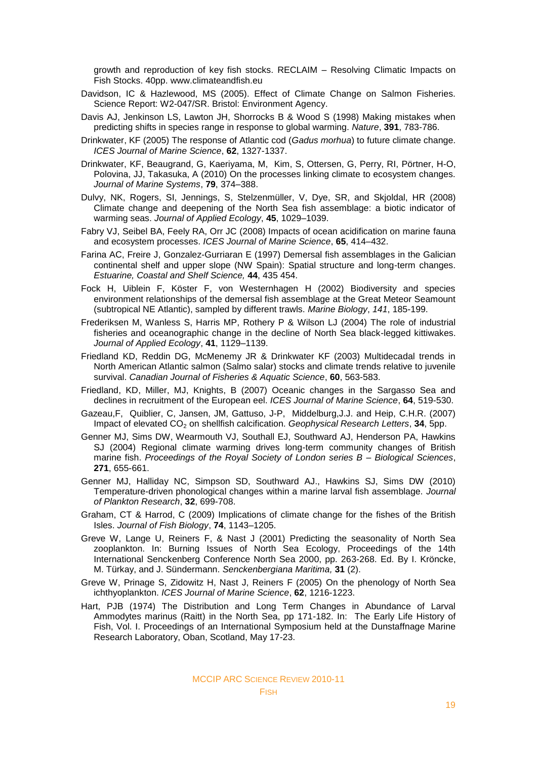growth and reproduction of key fish stocks. RECLAIM – Resolving Climatic Impacts on Fish Stocks. 40pp. www.climateandfish.eu

- Davidson, IC & Hazlewood, MS (2005). Effect of Climate Change on Salmon Fisheries. Science Report: W2-047/SR. Bristol: Environment Agency.
- Davis AJ, Jenkinson LS, Lawton JH, Shorrocks B & Wood S (1998) Making mistakes when predicting shifts in species range in response to global warming. *Nature*, **391**, 783-786.
- Drinkwater, KF (2005) The response of Atlantic cod (*Gadus morhua*) to future climate change. *ICES Journal of Marine Science*, **62**, 1327-1337.
- Drinkwater, KF, Beaugrand, G, Kaeriyama, M, Kim, S, Ottersen, G, Perry, RI, Pörtner, H-O, Polovina, JJ, Takasuka, A (2010) On the processes linking climate to ecosystem changes. *Journal of Marine Systems*, **79**, 374–388.
- Dulvy, NK, Rogers, SI, Jennings, S, Stelzenmüller, V, Dye, SR, and Skjoldal, HR (2008) Climate change and deepening of the North Sea fish assemblage: a biotic indicator of warming seas. *Journal of Applied Ecology*, **45**, 1029–1039.
- Fabry VJ, Seibel BA, Feely RA, Orr JC (2008) Impacts of ocean acidification on marine fauna and ecosystem processes. *ICES Journal of Marine Science*, **65**, 414–432.
- Farina AC, Freire J, Gonzalez-Gurriaran E (1997) Demersal fish assemblages in the Galician continental shelf and upper slope (NW Spain): Spatial structure and long-term changes. *Estuarine, Coastal and Shelf Science,* **44**, 435 454.
- Fock H, Uiblein F, Köster F, von Westernhagen H (2002) Biodiversity and species environment relationships of the demersal fish assemblage at the Great Meteor Seamount (subtropical NE Atlantic), sampled by different trawls. *Marine Biology*, *141*, 185-199.
- Frederiksen M, Wanless S, Harris MP, Rothery P & Wilson LJ (2004) The role of industrial fisheries and oceanographic change in the decline of North Sea black-legged kittiwakes. *Journal of Applied Ecology*, **41**, 1129–1139.
- Friedland KD, Reddin DG, McMenemy JR & Drinkwater KF (2003) Multidecadal trends in North American Atlantic salmon (Salmo salar) stocks and climate trends relative to juvenile survival. *Canadian Journal of Fisheries & Aquatic Science*, **60**, 563-583.
- Friedland, KD, Miller, MJ, Knights, B (2007) Oceanic changes in the Sargasso Sea and declines in recruitment of the European eel. *ICES Journal of Marine Science*, **64**, 519-530.
- Gazeau,F, Quiblier, C, Jansen, JM, Gattuso, J-P, Middelburg,J.J. and Heip, C.H.R. (2007) Impact of elevated CO<sup>2</sup> on shellfish calcification. *Geophysical Research Letters*, **34**, 5pp.
- Genner MJ, Sims DW, Wearmouth VJ, Southall EJ, Southward AJ, Henderson PA, Hawkins SJ (2004) Regional climate warming drives long-term community changes of British marine fish. *Proceedings of the Royal Society of London series B – Biological Sciences*, **271**, 655-661.
- Genner MJ, Halliday NC, Simpson SD, Southward AJ., Hawkins SJ, Sims DW (2010) Temperature-driven phonological changes within a marine larval fish assemblage. *Journal of Plankton Research*, **32**, 699-708.
- Graham, CT & Harrod, C (2009) Implications of climate change for the fishes of the British Isles. *Journal of Fish Biology*, **74**, 1143–1205.
- Greve W, Lange U, Reiners F, & Nast J (2001) Predicting the seasonality of North Sea zooplankton. In: Burning Issues of North Sea Ecology, Proceedings of the 14th International Senckenberg Conference North Sea 2000, pp. 263-268. Ed. By I. Kröncke, M. Türkay, and J. Sündermann. *Senckenbergiana Maritima,* **31** (2).
- Greve W, Prinage S, Zidowitz H, Nast J, Reiners F (2005) On the phenology of North Sea ichthyoplankton. *ICES Journal of Marine Science*, **62**, 1216-1223.
- Hart, PJB (1974) The Distribution and Long Term Changes in Abundance of Larval Ammodytes marinus (Raitt) in the North Sea, pp 171-182. In: The Early Life History of Fish, Vol. I. Proceedings of an International Symposium held at the Dunstaffnage Marine Research Laboratory, Oban, Scotland, May 17-23.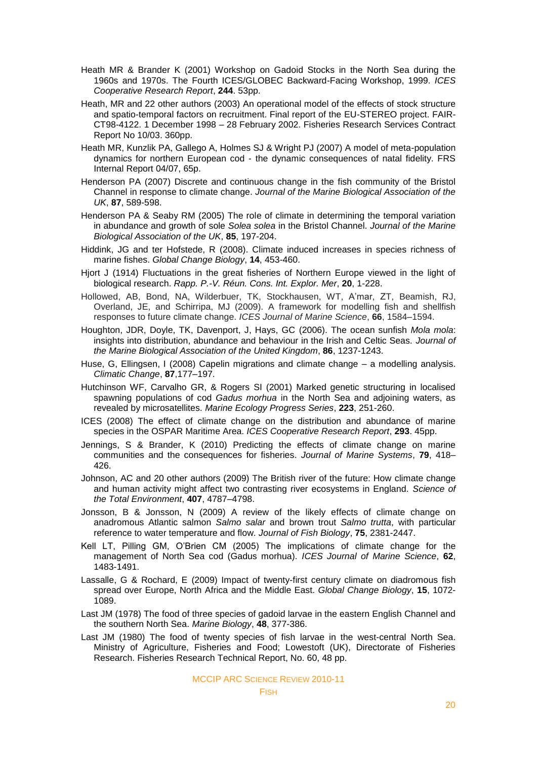- Heath MR & Brander K (2001) Workshop on Gadoid Stocks in the North Sea during the 1960s and 1970s. The Fourth ICES/GLOBEC Backward-Facing Workshop, 1999. *ICES Cooperative Research Report*, **244**. 53pp.
- Heath, MR and 22 other authors (2003) An operational model of the effects of stock structure and spatio-temporal factors on recruitment. Final report of the EU-STEREO project. FAIR-CT98-4122. 1 December 1998 – 28 February 2002. Fisheries Research Services Contract Report No 10/03. 360pp.
- Heath MR, Kunzlik PA, Gallego A, Holmes SJ & Wright PJ (2007) A model of meta-population dynamics for northern European cod - the dynamic consequences of natal fidelity. FRS Internal Report 04/07, 65p.
- Henderson PA (2007) Discrete and continuous change in the fish community of the Bristol Channel in response to climate change. *Journal of the Marine Biological Association of the UK*, **87**, 589-598.
- Henderson PA & Seaby RM (2005) The role of climate in determining the temporal variation in abundance and growth of sole *Solea solea* in the Bristol Channel. *Journal of the Marine Biological Association of the UK*, **85**, 197-204.
- Hiddink, JG and ter Hofstede, R (2008). Climate induced increases in species richness of marine fishes. *Global Change Biology*, **14**, 453-460.
- Hjort J (1914) Fluctuations in the great fisheries of Northern Europe viewed in the light of biological research. *Rapp. P.-V. Réun. Cons. Int. Explor. Mer*, **20**, 1-228.
- Hollowed, AB, Bond, NA, Wilderbuer, TK, Stockhausen, WT, A'mar, ZT, Beamish, RJ, Overland, JE, and Schirripa, MJ (2009). A framework for modelling fish and shellfish responses to future climate change. *ICES Journal of Marine Science*, **66**, 1584–1594.
- Houghton, JDR, Doyle, TK, Davenport, J, Hays, GC (2006). The ocean sunfish *Mola mola*: insights into distribution, abundance and behaviour in the Irish and Celtic Seas. *Journal of the Marine Biological Association of the United Kingdom*, **86**, 1237-1243.
- Huse, G, Ellingsen, I (2008) Capelin migrations and climate change a modelling analysis. *Climatic Change*, **87**,177–197.
- Hutchinson WF, Carvalho GR, & Rogers SI (2001) Marked genetic structuring in localised spawning populations of cod *Gadus morhua* in the North Sea and adjoining waters, as revealed by microsatellites. *Marine Ecology Progress Series*, **223**, 251-260.
- ICES (2008) The effect of climate change on the distribution and abundance of marine species in the OSPAR Maritime Area. *ICES Cooperative Research Report*, **293**. 45pp.
- Jennings, S & Brander, K (2010) Predicting the effects of climate change on marine communities and the consequences for fisheries. *Journal of Marine Systems*, **79**, 418– 426.
- Johnson, AC and 20 other authors (2009) The British river of the future: How climate change and human activity might affect two contrasting river ecosystems in England. *Science of the Total Environment*, **407**, 4787–4798.
- Jonsson, B & Jonsson, N (2009) A review of the likely effects of climate change on anadromous Atlantic salmon *Salmo salar* and brown trout *Salmo trutta*, with particular reference to water temperature and flow. *Journal of Fish Biology*, **75**, 2381-2447.
- Kell LT, Pilling GM, O'Brien CM (2005) The implications of climate change for the management of North Sea cod (Gadus morhua). *ICES Journal of Marine Science*, **62**, 1483-1491.
- Lassalle, G & Rochard, E (2009) Impact of twenty-first century climate on diadromous fish spread over Europe, North Africa and the Middle East. *Global Change Biology*, **15**, 1072- 1089.
- Last JM (1978) The food of three species of gadoid larvae in the eastern English Channel and the southern North Sea. *Marine Biology*, **48**, 377-386.
- Last JM (1980) The food of twenty species of fish larvae in the west-central North Sea. Ministry of Agriculture, Fisheries and Food; Lowestoft (UK), Directorate of Fisheries Research. Fisheries Research Technical Report, No. 60, 48 pp.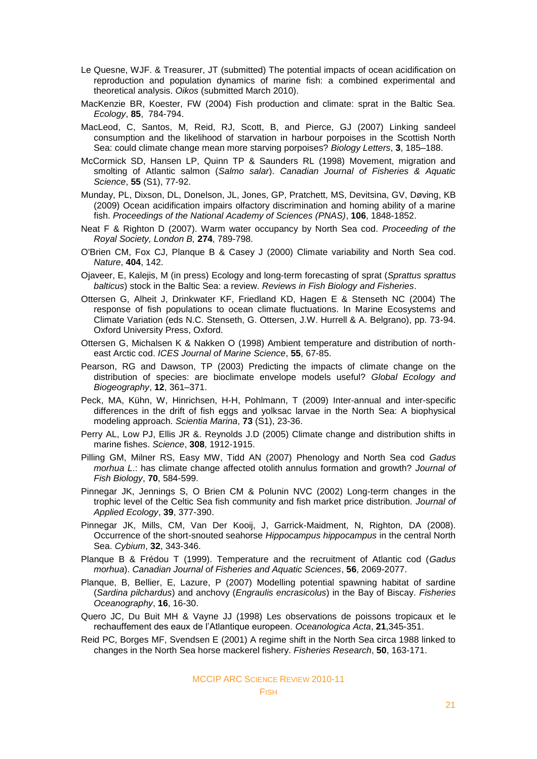- Le Quesne, WJF. & Treasurer, JT (submitted) The potential impacts of ocean acidification on reproduction and population dynamics of marine fish: a combined experimental and theoretical analysis. *Oikos* (submitted March 2010).
- MacKenzie BR, Koester, FW (2004) Fish production and climate: sprat in the Baltic Sea. *Ecology*, **85**, 784-794.
- MacLeod, C, Santos, M, Reid, RJ, Scott, B, and Pierce, GJ (2007) Linking sandeel consumption and the likelihood of starvation in harbour porpoises in the Scottish North Sea: could climate change mean more starving porpoises? *Biology Letters*, **3**, 185–188.
- McCormick SD, Hansen LP, Quinn TP & Saunders RL (1998) Movement, migration and smolting of Atlantic salmon (*Salmo salar*). *Canadian Journal of Fisheries & Aquatic Science*, **55** (S1), 77-92.
- Munday, PL, Dixson, DL, Donelson, JL, Jones, GP, Pratchett, MS, Devitsina, GV, Døving, KB (2009) Ocean acidification impairs olfactory discrimination and homing ability of a marine fish. *Proceedings of the National Academy of Sciences (PNAS)*, **106**, 1848-1852.
- Neat F & Righton D (2007). Warm water occupancy by North Sea cod. *Proceeding of the Royal Society, London B,* **274**, 789-798.
- O'Brien CM, Fox CJ, Planque B & Casey J (2000) Climate variability and North Sea cod. *Nature*, **404**, 142.
- Ojaveer, E, Kalejis, M (in press) Ecology and long-term forecasting of sprat (*Sprattus sprattus balticus*) stock in the Baltic Sea: a review. *[Reviews in Fish Biology and Fisheries](http://www.scopus.com/source/sourceInfo.url?sourceId=23366&origin=resultslist)*.
- Ottersen G, Alheit J, Drinkwater KF, Friedland KD, Hagen E & Stenseth NC (2004) The response of fish populations to ocean climate fluctuations. In Marine Ecosystems and Climate Variation (eds N.C. Stenseth, G. Ottersen, J.W. Hurrell & A. Belgrano), pp. 73-94. Oxford University Press, Oxford.
- Ottersen G, Michalsen K & Nakken O (1998) Ambient temperature and distribution of northeast Arctic cod. *ICES Journal of Marine Science*, **55**, 67-85.
- Pearson, RG and Dawson, TP (2003) Predicting the impacts of climate change on the distribution of species: are bioclimate envelope models useful? *Global Ecology and Biogeography*, **12**, 361–371.
- Peck, MA, Kühn, W, Hinrichsen, H-H, Pohlmann, T (2009) Inter-annual and inter-specific differences in the drift of fish eggs and yolksac larvae in the North Sea: A biophysical modeling approach. *Scientia Marina*, **73** (S1), 23-36.
- Perry AL, Low PJ, Ellis JR &. Reynolds J.D (2005) Climate change and distribution shifts in marine fishes. *Science*, **308**, 1912-1915.
- Pilling GM, Milner RS, Easy MW, Tidd AN (2007) Phenology and North Sea cod *Gadus morhua L*.: has climate change affected otolith annulus formation and growth? *Journal of Fish Biology*, **70**, 584-599.
- Pinnegar JK, Jennings S, O Brien CM & Polunin NVC (2002) Long-term changes in the trophic level of the Celtic Sea fish community and fish market price distribution. *Journal of Applied Ecology*, **39**, 377-390.
- Pinnegar JK, Mills, CM, Van Der Kooij, J, Garrick-Maidment, N, Righton, DA (2008). Occurrence of the short-snouted seahorse *Hippocampus hippocampus* in the central North Sea. *Cybium*, **32**, 343-346.
- Planque B & Frédou T (1999). Temperature and the recruitment of Atlantic cod (*Gadus morhua*). *Canadian Journal of Fisheries and Aquatic Sciences*, **56**, 2069-2077.
- Planque, B, Bellier, E, Lazure, P (2007) Modelling potential spawning habitat of sardine (*Sardina pilchardus*) and anchovy (*Engraulis encrasicolus*) in the Bay of Biscay. *Fisheries Oceanography*, **16**, 16-30.
- Quero JC, Du Buit MH & Vayne JJ (1998) Les observations de poissons tropicaux et le rechauffement des eaux de l'Atlantique europeen. *Oceanologica Acta*, **21**,345-351.
- Reid PC, Borges MF, Svendsen E (2001) A regime shift in the North Sea circa 1988 linked to changes in the North Sea horse mackerel fishery. *Fisheries Research*, **50**, 163-171.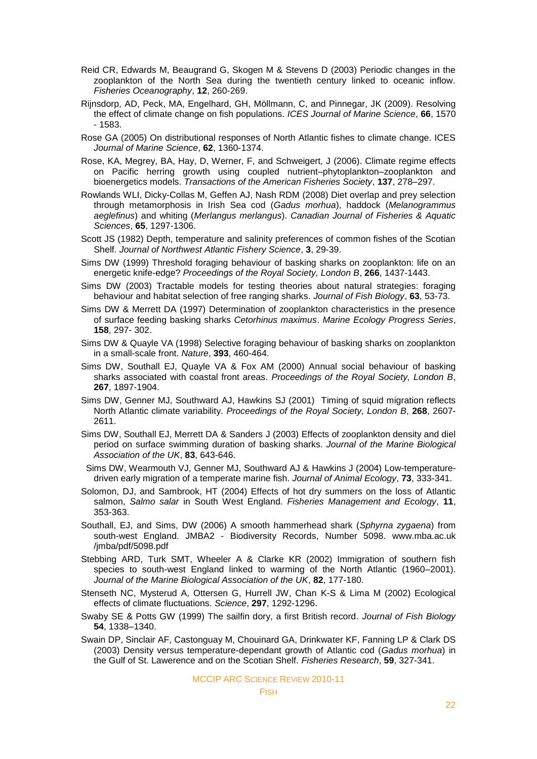- Reid CR, Edwards M, Beaugrand G, Skogen M & Stevens D (2003) Periodic changes in the zooplankton of the North Sea during the twentieth century linked to oceanic inflow. *Fisheries Oceanography*, **12**, 260-269.
- Rijnsdorp, AD, Peck, MA, Engelhard, GH, Möllmann, C, and Pinnegar, JK (2009). Resolving the effect of climate change on fish populations. *ICES Journal of Marine Science*, **66**, 1570 - 1583.
- Rose GA (2005) On distributional responses of North Atlantic fishes to climate change. ICES *Journal of Marine Science*, **62**, 1360-1374.
- Rose, KA, Megrey, BA, Hay, D, Werner, F, and Schweigert, J (2006). Climate regime effects on Pacific herring growth using coupled nutrient–phytoplankton–zooplankton and bioenergetics models. *Transactions of the American Fisheries Society*, **137**, 278–297.
- Rowlands WLI, Dicky-Collas M, Geffen AJ, Nash RDM (2008) Diet overlap and prey selection through metamorphosis in Irish Sea cod (*Gadus morhua*), haddock (*Melanogrammus aeglefinus*) and whiting (*Merlangus merlangus*). *Canadian Journal of Fisheries & Aquatic Sciences*, **65**, 1297-1306.
- Scott JS (1982) Depth, temperature and salinity preferences of common fishes of the Scotian Shelf. *Journal of Northwest Atlantic Fishery Science*, **3**, 29-39.
- Sims DW (1999) Threshold foraging behaviour of basking sharks on zooplankton: life on an energetic knife-edge? *Proceedings of the Royal Society, London B*, **266**, 1437-1443.
- Sims DW (2003) Tractable models for testing theories about natural strategies: foraging behaviour and habitat selection of free ranging sharks. *Journal of Fish Biology*, **63**, 53-73.
- Sims DW & Merrett DA (1997) Determination of zooplankton characteristics in the presence of surface feeding basking sharks *Cetorhinus maximus*. *Marine Ecology Progress Series*, **158**, 297- 302.
- Sims DW & Quayle VA (1998) Selective foraging behaviour of basking sharks on zooplankton in a small-scale front. *Nature*, **393**, 460-464.
- Sims DW, Southall EJ, Quayle VA & Fox AM (2000) Annual social behaviour of basking sharks associated with coastal front areas. *Proceedings of the Royal Society, London B*, **267**, 1897-1904.
- Sims DW, Genner MJ, Southward AJ, Hawkins SJ (2001) Timing of squid migration reflects North Atlantic climate variability. *Proceedings of the Royal Society, London B*, **268**, 2607- 2611.
- Sims DW, Southall EJ, Merrett DA & Sanders J (2003) Effects of zooplankton density and diel period on surface swimming duration of basking sharks. *Journal of the Marine Biological Association of the UK*, **83**, 643-646.
- Sims DW, Wearmouth VJ, Genner MJ, Southward AJ & Hawkins J (2004) Low-temperaturedriven early migration of a temperate marine fish. *Journal of Animal Ecology*, **73**, 333-341.
- Solomon, DJ, and Sambrook, HT (2004) Effects of hot dry summers on the loss of Atlantic salmon, *Salmo salar* in South West England. *Fisheries Management and Ecology*, **11**, 353-363.
- Southall, EJ, and Sims, DW (2006) A smooth hammerhead shark (*Sphyrna zygaena*) from south-west England. JMBA2 - Biodiversity Records, Number 5098. www.mba.ac.uk /jmba/pdf/5098.pdf
- Stebbing ARD, Turk SMT, Wheeler A & Clarke KR (2002) Immigration of southern fish species to south-west England linked to warming of the North Atlantic (1960–2001). *Journal of the Marine Biological Association of the UK*, **82**, 177-180.
- Stenseth NC, Mysterud A, Ottersen G, Hurrell JW, Chan K-S & Lima M (2002) Ecological effects of climate fluctuations. *Science*, **297**, 1292-1296.
- Swaby SE & Potts GW (1999) The sailfin dory, a first British record. *Journal of Fish Biology* **54**, 1338–1340.
- Swain DP, Sinclair AF, Castonguay M, Chouinard GA, Drinkwater KF, Fanning LP & Clark DS (2003) Density versus temperature-dependant growth of Atlantic cod (*Gadus morhua*) in the Gulf of St. Lawerence and on the Scotian Shelf. *Fisheries Research*, **59**, 327-341.

#### MCCIP ARC SCIENCE REVIEW 2010-11